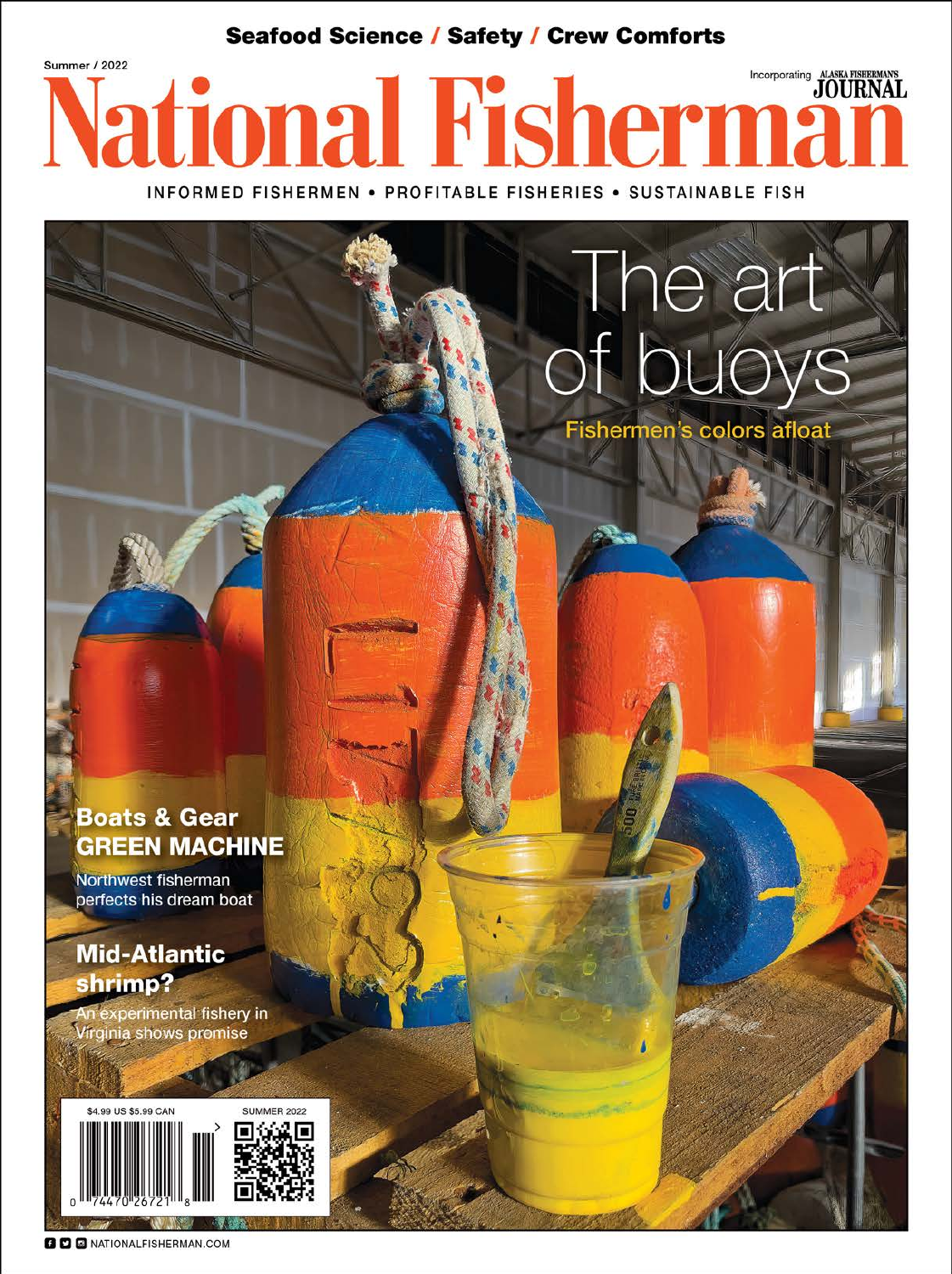#### **Seafood Science / Safety / Crew Comforts**

**Summer / 2022** Incorporating ALASKA FISHERMANS **Vational Fisherma** 

INFORMED FISHERMEN • PROFITABLE FISHERIES • SUSTAINABLE FISH

# The art<br>of buoys

Fishermen's colors afloat

#### **Boats & Gear GREEN MACHINE**

Northwest fisherman perfects his dream boat

### **Mid-Atlantic** shrimp?

experimental fishery in Virginia shows promise

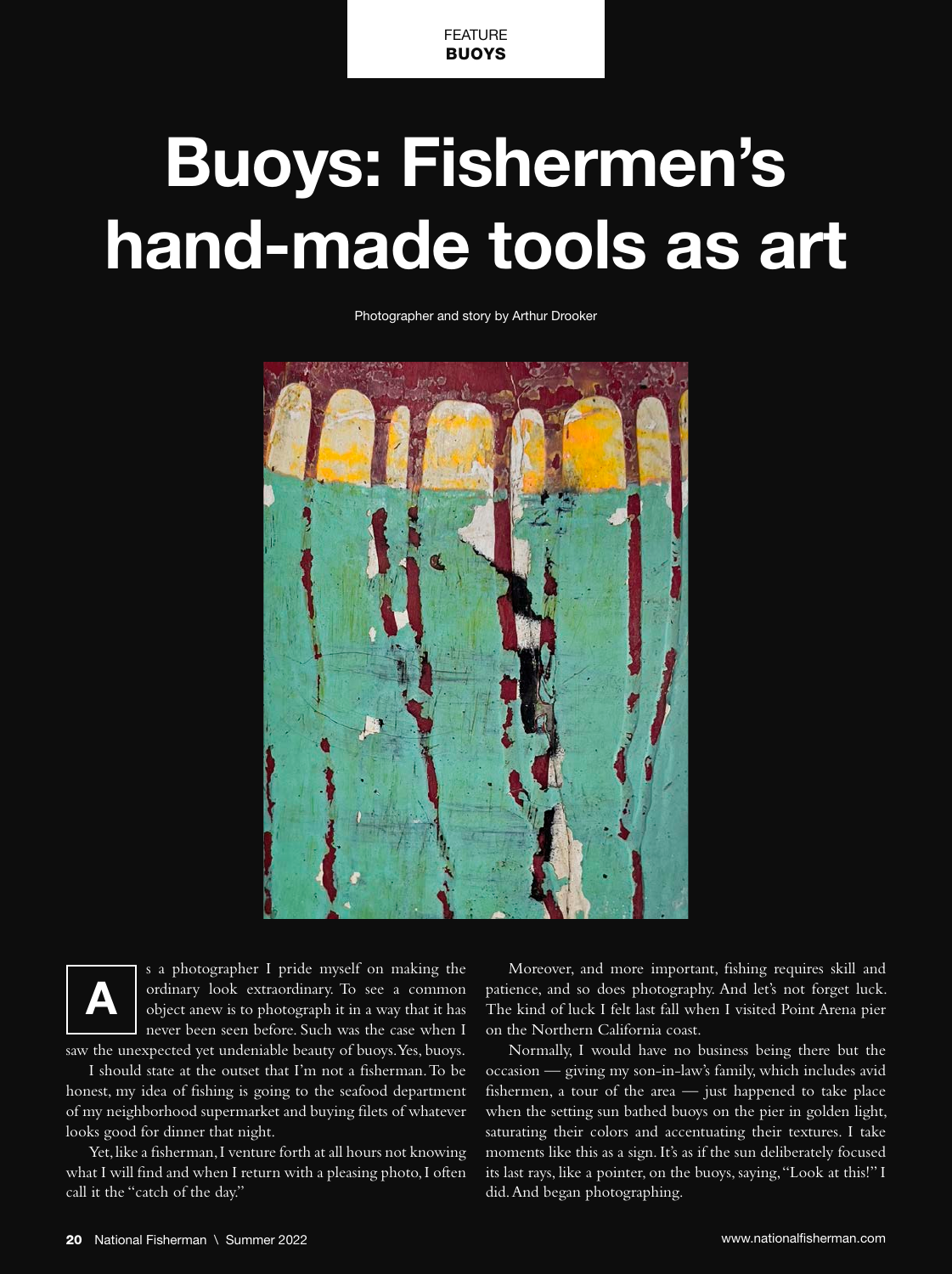## Buoys: Fishermen's hand-made tools as art

Photographer and story by Arthur Drooker





s a photographer I pride myself on making the ordinary look extraordinary. To see a common object anew is to photograph it in a way that it has never been seen before. Such was the case when I

saw the unexpected yet undeniable beauty of buoys. Yes, buoys.

I should state at the outset that I'm not a fisherman. To be honest, my idea of fishing is going to the seafood department of my neighborhood supermarket and buying filets of whatever looks good for dinner that night.

Yet, like a fisherman, I venture forth at all hours not knowing what I will find and when I return with a pleasing photo, I often call it the "catch of the day."

Moreover, and more important, fishing requires skill and patience, and so does photography. And let's not forget luck. The kind of luck I felt last fall when I visited Point Arena pier on the Northern California coast.

Normally, I would have no business being there but the occasion — giving my son-in-law's family, which includes avid fishermen, a tour of the area  $-$  just happened to take place when the setting sun bathed buoys on the pier in golden light, saturating their colors and accentuating their textures. I take moments like this as a sign. It's as if the sun deliberately focused its last rays, like a pointer, on the buoys, saying, "Look at this!" I did. And began photographing.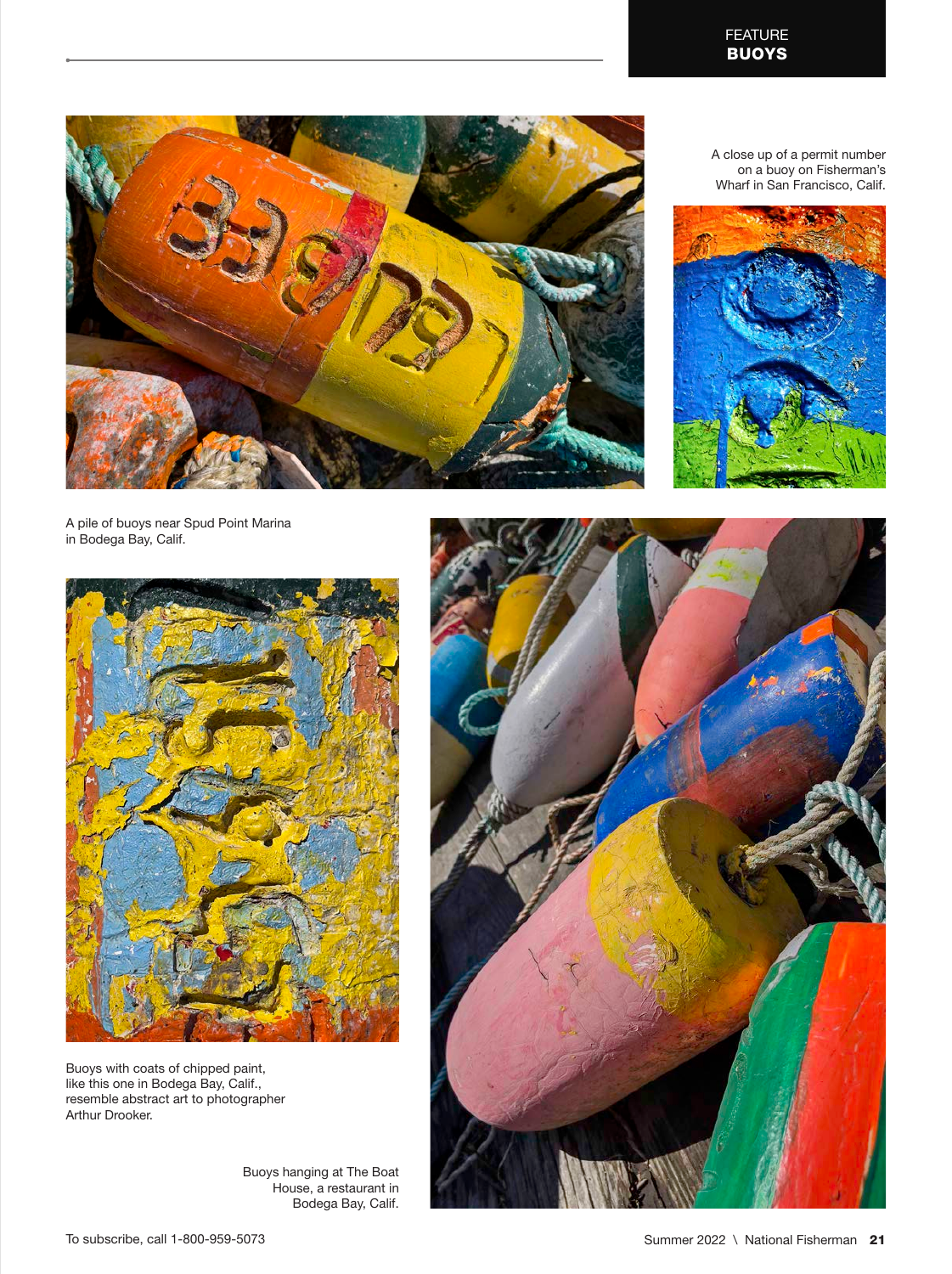

A close up of a permit number on a buoy on Fisherman's Wharf in San Francisco, Calif.



A pile of buoys near Spud Point Marina in Bodega Bay, Calif.



Buoys with coats of chipped paint, like this one in Bodega Bay, Calif., resemble abstract art to photographer Arthur Drooker.

Buoys hanging at The Boat House, a restaurant in Bodega Bay, Calif.